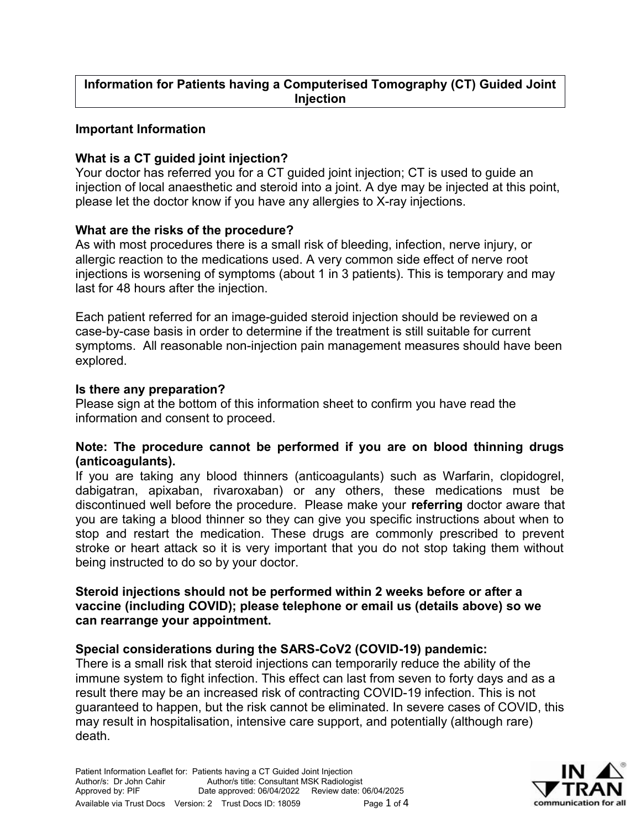### **Important Information**

# **What is a CT guided joint injection?**

Your doctor has referred you for a CT guided joint injection; CT is used to guide an injection of local anaesthetic and steroid into a joint. A dye may be injected at this point, please let the doctor know if you have any allergies to X-ray injections.

### **What are the risks of the procedure?**

As with most procedures there is a small risk of bleeding, infection, nerve injury, or allergic reaction to the medications used. A very common side effect of nerve root injections is worsening of symptoms (about 1 in 3 patients). This is temporary and may last for 48 hours after the injection.

Each patient referred for an image-guided steroid injection should be reviewed on a case-by-case basis in order to determine if the treatment is still suitable for current symptoms. All reasonable non-injection pain management measures should have been explored.

### **Is there any preparation?**

Please sign at the bottom of this information sheet to confirm you have read the information and consent to proceed.

### **Note: The procedure cannot be performed if you are on blood thinning drugs (anticoagulants).**

If you are taking any blood thinners (anticoagulants) such as Warfarin, clopidogrel, dabigatran, apixaban, rivaroxaban) or any others, these medications must be discontinued well before the procedure. Please make your **referring** doctor aware that you are taking a blood thinner so they can give you specific instructions about when to stop and restart the medication. These drugs are commonly prescribed to prevent stroke or heart attack so it is very important that you do not stop taking them without being instructed to do so by your doctor.

#### **Steroid injections should not be performed within 2 weeks before or after a vaccine (including COVID); please telephone or email us (details above) so we can rearrange your appointment.**

## **Special considerations during the SARS-CoV2 (COVID-19) pandemic:**

There is a small risk that steroid injections can temporarily reduce the ability of the immune system to fight infection. This effect can last from seven to forty days and as a result there may be an increased risk of contracting COVID-19 infection. This is not guaranteed to happen, but the risk cannot be eliminated. In severe cases of COVID, this may result in hospitalisation, intensive care support, and potentially (although rare) death.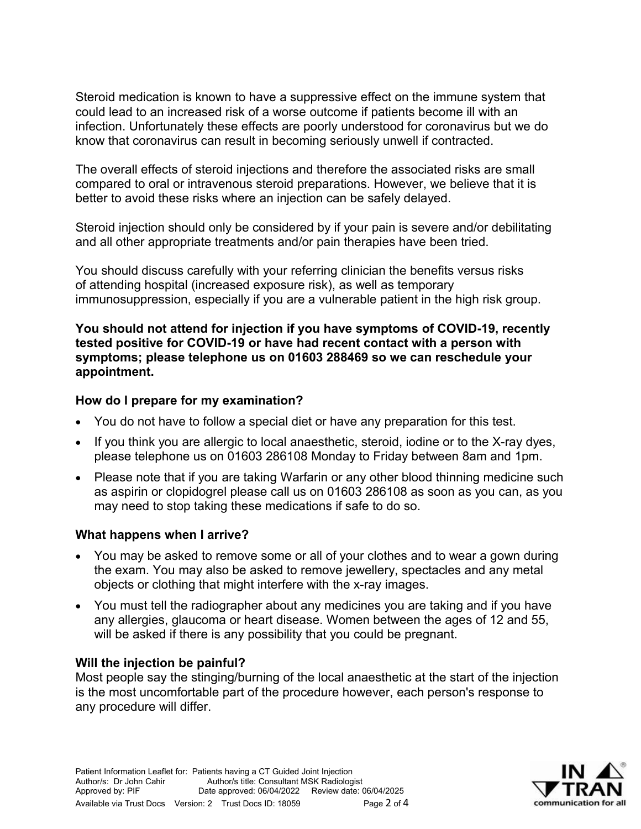Steroid medication is known to have a suppressive effect on the immune system that could lead to an increased risk of a worse outcome if patients become ill with an infection. Unfortunately these effects are poorly understood for coronavirus but we do know that coronavirus can result in becoming seriously unwell if contracted.

The overall effects of steroid injections and therefore the associated risks are small compared to oral or intravenous steroid preparations. However, we believe that it is better to avoid these risks where an injection can be safely delayed.

Steroid injection should only be considered by if your pain is severe and/or debilitating and all other appropriate treatments and/or pain therapies have been tried.

You should discuss carefully with your referring clinician the benefits versus risks of attending hospital (increased exposure risk), as well as temporary immunosuppression, especially if you are a vulnerable patient in the high risk group.

**You should not attend for injection if you have symptoms of COVID-19, recently tested positive for COVID-19 or have had recent contact with a person with symptoms; please telephone us on 01603 288469 so we can reschedule your appointment.**

## **How do I prepare for my examination?**

- You do not have to follow a special diet or have any preparation for this test.
- If you think you are allergic to local anaesthetic, steroid, iodine or to the X-ray dyes, please telephone us on 01603 286108 Monday to Friday between 8am and 1pm.
- Please note that if you are taking Warfarin or any other blood thinning medicine such as aspirin or clopidogrel please call us on 01603 286108 as soon as you can, as you may need to stop taking these medications if safe to do so.

## **What happens when I arrive?**

- You may be asked to remove some or all of your clothes and to wear a gown during the exam. You may also be asked to remove jewellery, spectacles and any metal objects or clothing that might interfere with the x-ray images.
- You must tell the radiographer about any medicines you are taking and if you have any allergies, glaucoma or heart disease. Women between the ages of 12 and 55, will be asked if there is any possibility that you could be pregnant.

## **Will the injection be painful?**

Most people say the stinging/burning of the local anaesthetic at the start of the injection is the most uncomfortable part of the procedure however, each person's response to any procedure will differ.

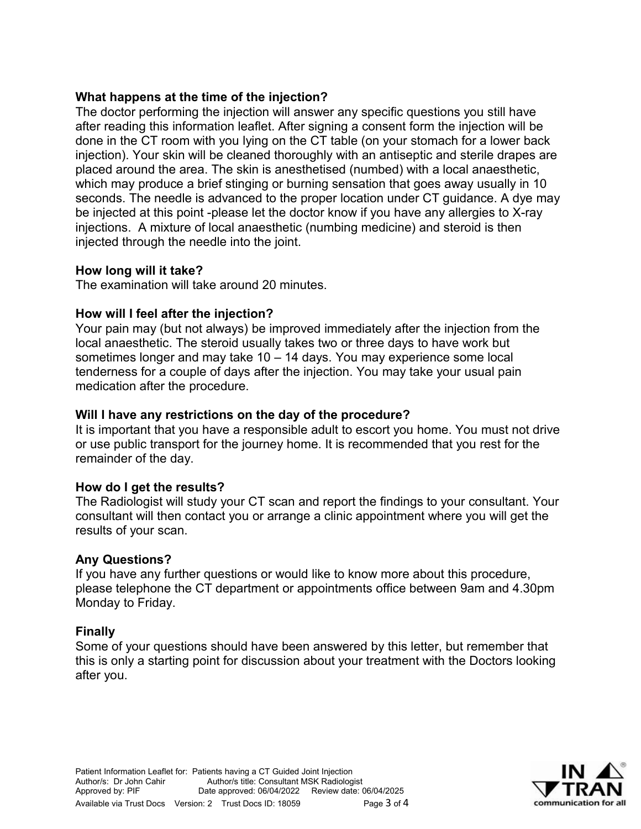## **What happens at the time of the injection?**

The doctor performing the injection will answer any specific questions you still have after reading this information leaflet. After signing a consent form the injection will be done in the CT room with you lying on the CT table (on your stomach for a lower back injection). Your skin will be cleaned thoroughly with an antiseptic and sterile drapes are placed around the area. The skin is anesthetised (numbed) with a local anaesthetic, which may produce a brief stinging or burning sensation that goes away usually in 10 seconds. The needle is advanced to the proper location under CT guidance. A dye may be injected at this point -please let the doctor know if you have any allergies to X-ray injections. A mixture of local anaesthetic (numbing medicine) and steroid is then injected through the needle into the joint.

### **How long will it take?**

The examination will take around 20 minutes.

### **How will I feel after the injection?**

Your pain may (but not always) be improved immediately after the injection from the local anaesthetic. The steroid usually takes two or three days to have work but sometimes longer and may take 10 – 14 days. You may experience some local tenderness for a couple of days after the injection. You may take your usual pain medication after the procedure.

#### **Will I have any restrictions on the day of the procedure?**

It is important that you have a responsible adult to escort you home. You must not drive or use public transport for the journey home. It is recommended that you rest for the remainder of the day.

#### **How do I get the results?**

The Radiologist will study your CT scan and report the findings to your consultant. Your consultant will then contact you or arrange a clinic appointment where you will get the results of your scan.

#### **Any Questions?**

If you have any further questions or would like to know more about this procedure, please telephone the CT department or appointments office between 9am and 4.30pm Monday to Friday.

## **Finally**

Some of your questions should have been answered by this letter, but remember that this is only a starting point for discussion about your treatment with the Doctors looking after you.